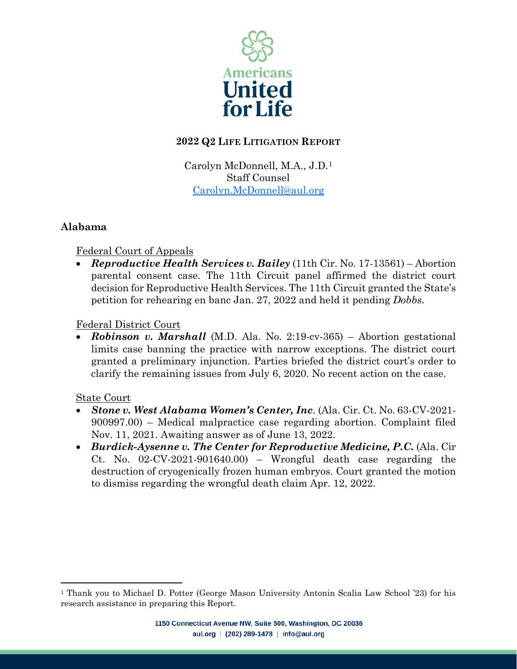

## **2022 Q2 LIFE LITIGATION REPORT**

Carolyn McDonnell, M.A., J.D.[1](#page-0-0) Staff Counsel [Carolyn.McDonnell@aul.org](mailto:Carolyn.McDonnell@aul.org)

## **Alabama**

### Federal Court of Appeals

• *Reproductive Health Services v. Bailey* (11th Cir. No. 17-13561) – Abortion parental consent case. The 11th Circuit panel affirmed the district court decision for Reproductive Health Services. The 11th Circuit granted the State's petition for rehearing en banc Jan. 27, 2022 and held it pending *Dobbs*.

#### Federal District Court

• *Robinson v. Marshall* (M.D. Ala. No. 2:19-cv-365) – Abortion gestational limits case banning the practice with narrow exceptions. The district court granted a preliminary injunction. Parties briefed the district court's order to clarify the remaining issues from July 6, 2020. No recent action on the case.

#### State Court

- *Stone v. West Alabama Women's Center, Inc.* (Ala. Cir. Ct. No. 63-CV-2021- 900997.00) – Medical malpractice case regarding abortion. Complaint filed Nov. 11, 2021. Awaiting answer as of June 13, 2022.
- *Burdick-Aysenne v. The Center for Reproductive Medicine, P.C.* (Ala. Cir Ct. No. 02-CV-2021-901640.00) – Wrongful death case regarding the destruction of cryogenically frozen human embryos. Court granted the motion to dismiss regarding the wrongful death claim Apr. 12, 2022.

<span id="page-0-0"></span><sup>1</sup> Thank you to Michael D. Potter (George Mason University Antonin Scalia Law School '23) for his research assistance in preparing this Report.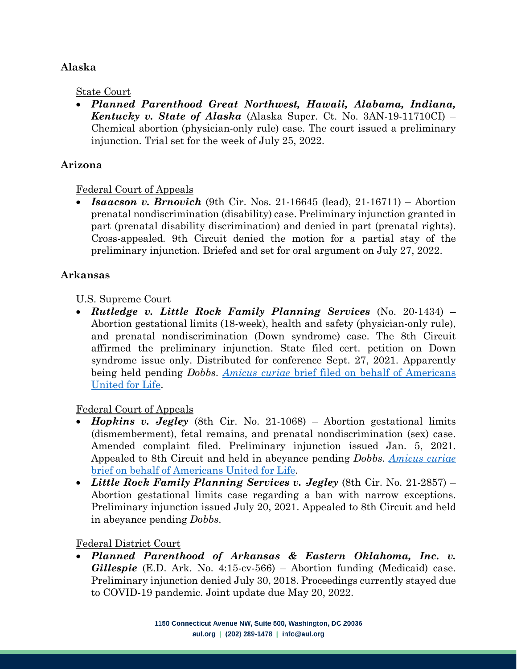## **Alaska**

#### State Court

• *Planned Parenthood Great Northwest, Hawaii, Alabama, Indiana, Kentucky v. State of Alaska* (Alaska Super. Ct. No. 3AN-19-11710CI) – Chemical abortion (physician-only rule) case. The court issued a preliminary injunction. Trial set for the week of July 25, 2022.

## **Arizona**

### Federal Court of Appeals

• *Isaacson v. Brnovich* (9th Cir. Nos. 21-16645 (lead), 21-16711) – Abortion prenatal nondiscrimination (disability) case. Preliminary injunction granted in part (prenatal disability discrimination) and denied in part (prenatal rights). Cross-appealed. 9th Circuit denied the motion for a partial stay of the preliminary injunction. Briefed and set for oral argument on July 27, 2022.

### **Arkansas**

### U.S. Supreme Court

• *Rutledge v. Little Rock Family Planning Services* (No. 20-1434) – Abortion gestational limits (18-week), health and safety (physician-only rule), and prenatal nondiscrimination (Down syndrome) case. The 8th Circuit affirmed the preliminary injunction. State filed cert. petition on Down syndrome issue only. Distributed for conference Sept. 27, 2021. Apparently being held pending *Dobbs*. *Amicus curiae* [brief filed on behalf of Americans](https://aul.org/wp-content/uploads/2021/07/20210513103832564_20-1434-Amicus-Brief-of-Americans-United-for-Life.pdf)  [United for Life.](https://aul.org/wp-content/uploads/2021/07/20210513103832564_20-1434-Amicus-Brief-of-Americans-United-for-Life.pdf)

### Federal Court of Appeals

- *Hopkins v. Jegley* (8th Cir. No. 21-1068) Abortion gestational limits (dismemberment), fetal remains, and prenatal nondiscrimination (sex) case. Amended complaint filed. Preliminary injunction issued Jan. 5, 2021. Appealed to 8th Circuit and held in abeyance pending *Dobbs*. *[Amicus curiae](https://aul.org/wp-content/uploads/2020/11/2020-10-14-Amicus-Brief-of-AUL.pdf)* [brief on behalf of Americans United for Life.](https://aul.org/wp-content/uploads/2020/11/2020-10-14-Amicus-Brief-of-AUL.pdf)
- *Little Rock Family Planning Services v. Jegley* (8th Cir. No. 21-2857) Abortion gestational limits case regarding a ban with narrow exceptions. Preliminary injunction issued July 20, 2021. Appealed to 8th Circuit and held in abeyance pending *Dobbs*.

### Federal District Court

• *Planned Parenthood of Arkansas & Eastern Oklahoma, Inc. v. Gillespie* (E.D. Ark. No. 4:15-cv-566) – Abortion funding (Medicaid) case. Preliminary injunction denied July 30, 2018. Proceedings currently stayed due to COVID-19 pandemic. Joint update due May 20, 2022.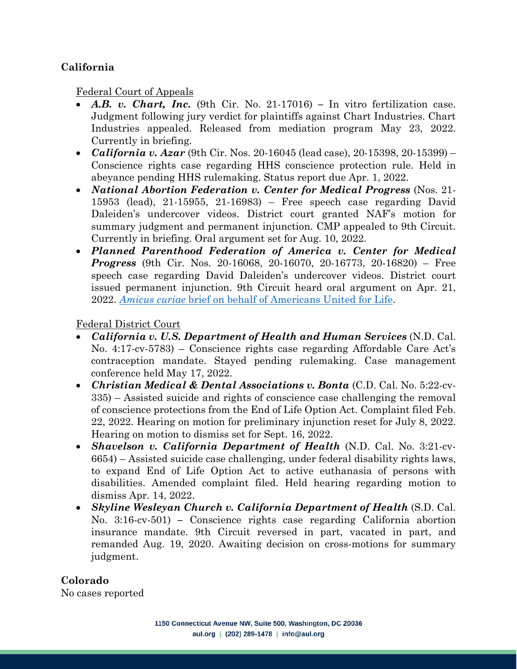## **California**

Federal Court of Appeals

- *A.B. v. Chart, Inc.* (9th Cir. No. 21-17016) **–** In vitro fertilization case. Judgment following jury verdict for plaintiffs against Chart Industries. Chart Industries appealed. Released from mediation program May 23, 2022. Currently in briefing.
- *California v. Azar* (9th Cir. Nos. 20-16045 (lead case), 20-15398, 20-15399) Conscience rights case regarding HHS conscience protection rule. Held in abeyance pending HHS rulemaking. Status report due Apr. 1, 2022.
- *National Abortion Federation v. Center for Medical Progress* (Nos. 21- 15953 (lead), 21-15955, 21-16983) – Free speech case regarding David Daleiden's undercover videos. District court granted NAF's motion for summary judgment and permanent injunction. CMP appealed to 9th Circuit. Currently in briefing. Oral argument set for Aug. 10, 2022.
- *Planned Parenthood Federation of America v. Center for Medical Progress* (9th Cir. Nos. 20-16068, 20-16070, 20-16773, 20-16820) – Free speech case regarding David Daleiden's undercover videos. District court issued permanent injunction. 9th Circuit heard oral argument on Apr. 21, 2022. *[Amicus curiae](https://aul.org/wp-content/uploads/2021/03/AUL-CA9-PP-v.-CMP-FINAL.pdf)* brief [on behalf of Americans United for Life.](https://aul.org/wp-content/uploads/2021/03/AUL-CA9-PP-v.-CMP-FINAL.pdf)

Federal District Court

- *California v. U.S. Department of Health and Human Services* (N.D. Cal. No. 4:17-cv-5783) – Conscience rights case regarding Affordable Care Act's contraception mandate. Stayed pending rulemaking. Case management conference held May 17, 2022.
- *Christian Medical & Dental Associations v. Bonta* (C.D. Cal. No. 5:22-cv-335) – Assisted suicide and rights of conscience case challenging the removal of conscience protections from the End of Life Option Act. Complaint filed Feb. 22, 2022. Hearing on motion for preliminary injunction reset for July 8, 2022. Hearing on motion to dismiss set for Sept. 16, 2022.
- *Shavelson v. California Department of Health* (N.D. Cal. No. 3:21-cv-6654) – Assisted suicide case challenging, under federal disability rights laws, to expand End of Life Option Act to active euthanasia of persons with disabilities. Amended complaint filed. Held hearing regarding motion to dismiss Apr. 14, 2022.
- *Skyline Wesleyan Church v. California Department of Health* (S.D. Cal. No. 3:16-cv-501) **–** Conscience rights case regarding California abortion insurance mandate. 9th Circuit reversed in part, vacated in part, and remanded Aug. 19, 2020. Awaiting decision on cross-motions for summary judgment.

**Colorado** No cases reported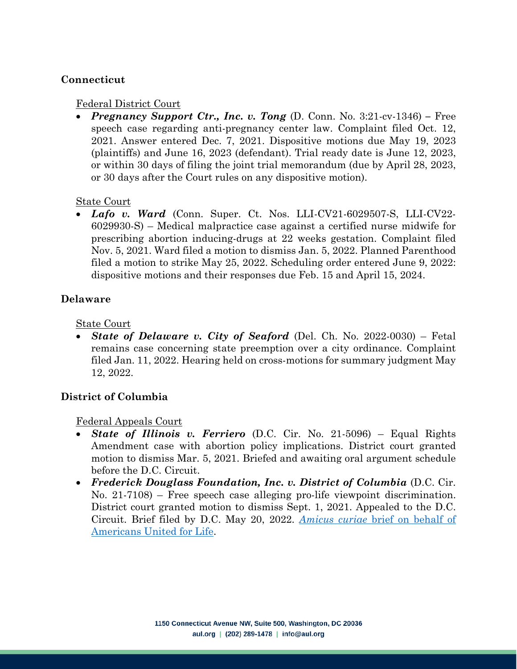#### **Connecticut**

#### Federal District Court

• *Pregnancy Support Ctr., Inc. v. Tong* (D. Conn. No. 3:21-cv-1346) **–** Free speech case regarding anti-pregnancy center law. Complaint filed Oct. 12, 2021. Answer entered Dec. 7, 2021. Dispositive motions due May 19, 2023 (plaintiffs) and June 16, 2023 (defendant). Trial ready date is June 12, 2023, or within 30 days of filing the joint trial memorandum (due by April 28, 2023, or 30 days after the Court rules on any dispositive motion).

#### State Court

• *Lafo v. Ward* (Conn. Super. Ct. Nos. LLI-CV21-6029507-S, LLI-CV22- 6029930-S) – Medical malpractice case against a certified nurse midwife for prescribing abortion inducing-drugs at 22 weeks gestation. Complaint filed Nov. 5, 2021. Ward filed a motion to dismiss Jan. 5, 2022. Planned Parenthood filed a motion to strike May 25, 2022. Scheduling order entered June 9, 2022: dispositive motions and their responses due Feb. 15 and April 15, 2024.

#### **Delaware**

State Court

• *State of Delaware v. City of Seaford* (Del. Ch. No. 2022-0030) – Fetal remains case concerning state preemption over a city ordinance. Complaint filed Jan. 11, 2022. Hearing held on cross-motions for summary judgment May 12, 2022.

### **District of Columbia**

Federal Appeals Court

- *State of Illinois v. Ferriero* (D.C. Cir. No. 21-5096) Equal Rights Amendment case with abortion policy implications. District court granted motion to dismiss Mar. 5, 2021. Briefed and awaiting oral argument schedule before the D.C. Circuit.
- *Frederick Douglass Foundation, Inc. v. District of Columbia* (D.C. Cir. No. 21-7108) – Free speech case alleging pro-life viewpoint discrimination. District court granted motion to dismiss Sept. 1, 2021. Appealed to the D.C. Circuit. Brief filed by D.C. May 20, 2022. *Amicus curiae* [brief on behalf of](https://aul.org/wp-content/uploads/2022/03/AUL-amicus-brief-in-Frederick-Douglass-Foundation-v.-DC.pdf)  [Americans United for Life.](https://aul.org/wp-content/uploads/2022/03/AUL-amicus-brief-in-Frederick-Douglass-Foundation-v.-DC.pdf)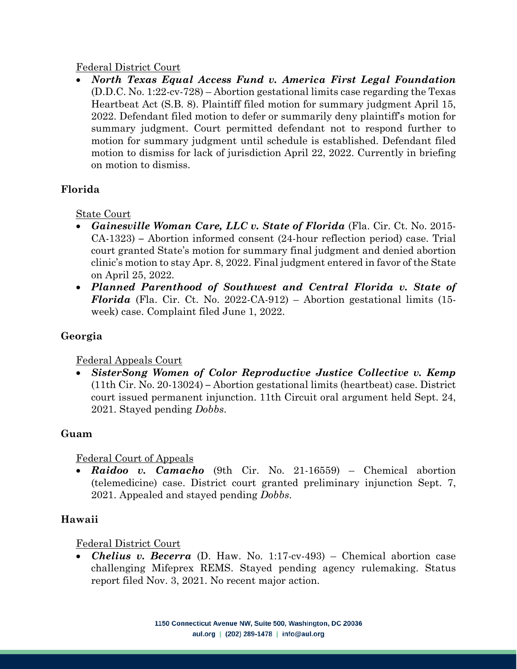#### Federal District Court

• *North Texas Equal Access Fund v. America First Legal Foundation* (D.D.C. No. 1:22-cv-728) – Abortion gestational limits case regarding the Texas Heartbeat Act (S.B. 8). Plaintiff filed motion for summary judgment April 15, 2022. Defendant filed motion to defer or summarily deny plaintiff's motion for summary judgment. Court permitted defendant not to respond further to motion for summary judgment until schedule is established. Defendant filed motion to dismiss for lack of jurisdiction April 22, 2022. Currently in briefing on motion to dismiss.

## **Florida**

State Court

- *Gainesville Woman Care, LLC v. State of Florida* (Fla. Cir. Ct. No. 2015- CA-1323) **–** Abortion informed consent (24-hour reflection period) case. Trial court granted State's motion for summary final judgment and denied abortion clinic's motion to stay Apr. 8, 2022. Final judgment entered in favor of the State on April 25, 2022.
- *Planned Parenthood of Southwest and Central Florida v. State of Florida* (Fla. Cir. Ct. No. 2022-CA-912) – Abortion gestational limits (15week) case. Complaint filed June 1, 2022.

# **Georgia**

### Federal Appeals Court

• *SisterSong Women of Color Reproductive Justice Collective v. Kemp* (11th Cir. No. 20-13024) **–** Abortion gestational limits (heartbeat) case. District court issued permanent injunction. 11th Circuit oral argument held Sept. 24, 2021. Stayed pending *Dobbs*.

### **Guam**

### Federal Court of Appeals

• *Raidoo v. Camacho* (9th Cir. No. 21-16559) – Chemical abortion (telemedicine) case. District court granted preliminary injunction Sept. 7, 2021. Appealed and stayed pending *Dobbs*.

### **Hawaii**

### Federal District Court

• *Chelius v. Becerra* (D. Haw. No. 1:17-cv-493) – Chemical abortion case challenging Mifeprex REMS. Stayed pending agency rulemaking. Status report filed Nov. 3, 2021. No recent major action.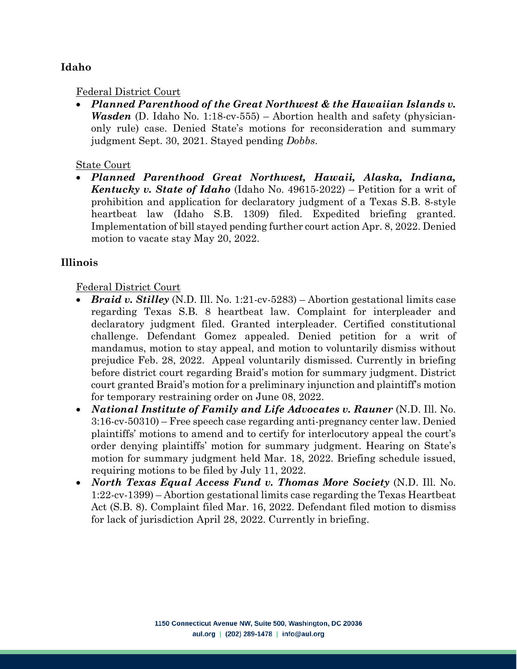## **Idaho**

#### Federal District Court

• *Planned Parenthood of the Great Northwest & the Hawaiian Islands v. Wasden* (D. Idaho No. 1:18-cv-555) – Abortion health and safety (physicianonly rule) case. Denied State's motions for reconsideration and summary judgment Sept. 30, 2021. Stayed pending *Dobbs*.

#### State Court

• *Planned Parenthood Great Northwest, Hawaii, Alaska, Indiana, Kentucky v. State of Idaho* (Idaho No. 49615-2022) – Petition for a writ of prohibition and application for declaratory judgment of a Texas S.B. 8-style heartbeat law (Idaho S.B. 1309) filed. Expedited briefing granted. Implementation of bill stayed pending further court action Apr. 8, 2022. Denied motion to vacate stay May 20, 2022.

#### **Illinois**

- *Braid v. Stilley* (N.D. Ill. No. 1:21-cv-5283) Abortion gestational limits case regarding Texas S.B. 8 heartbeat law. Complaint for interpleader and declaratory judgment filed. Granted interpleader. Certified constitutional challenge. Defendant Gomez appealed. Denied petition for a writ of mandamus, motion to stay appeal, and motion to voluntarily dismiss without prejudice Feb. 28, 2022. Appeal voluntarily dismissed. Currently in briefing before district court regarding Braid's motion for summary judgment. District court granted Braid's motion for a preliminary injunction and plaintiff's motion for temporary restraining order on June 08, 2022.
- *National Institute of Family and Life Advocates v. Rauner* (N.D. Ill. No. 3:16-cv-50310) – Free speech case regarding anti-pregnancy center law. Denied plaintiffs' motions to amend and to certify for interlocutory appeal the court's order denying plaintiffs' motion for summary judgment. Hearing on State's motion for summary judgment held Mar. 18, 2022. Briefing schedule issued, requiring motions to be filed by July 11, 2022.
- *North Texas Equal Access Fund v. Thomas More Society* (N.D. Ill. No. 1:22-cv-1399) – Abortion gestational limits case regarding the Texas Heartbeat Act (S.B. 8). Complaint filed Mar. 16, 2022. Defendant filed motion to dismiss for lack of jurisdiction April 28, 2022. Currently in briefing.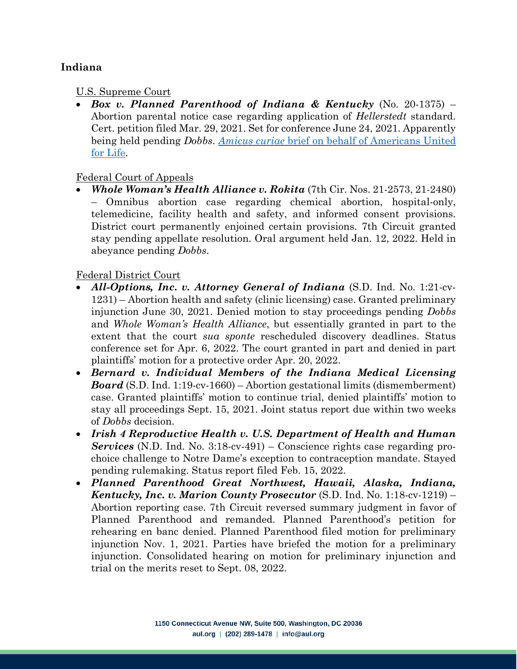## **Indiana**

#### U.S. Supreme Court

• *Box v. Planned Parenthood of Indiana & Kentucky* (No. 20-1375) – Abortion parental notice case regarding application of *Hellerstedt* standard. Cert. petition filed Mar. 29, 2021. Set for conference June 24, 2021. Apparently being held pending *Dobbs*. *Amicus curiae* [brief on behalf of Americans United](https://aul.org/wp-content/uploads/2021/11/2021-Box-v.-Planned-Parenthood-of-Indiana-and-Kentucky-Inc.-cert-petition-On-behalf-of-AUL.pdf)  [for Life.](https://aul.org/wp-content/uploads/2021/11/2021-Box-v.-Planned-Parenthood-of-Indiana-and-Kentucky-Inc.-cert-petition-On-behalf-of-AUL.pdf)

#### Federal Court of Appeals

• *Whole Woman's Health Alliance v. Rokita* (7th Cir. Nos. 21-2573, 21-2480) – Omnibus abortion case regarding chemical abortion, hospital-only, telemedicine, facility health and safety, and informed consent provisions. District court permanently enjoined certain provisions. 7th Circuit granted stay pending appellate resolution. Oral argument held Jan. 12, 2022. Held in abeyance pending *Dobbs*.

- *All-Options, Inc. v. Attorney General of Indiana* (S.D. Ind. No. 1:21-cv-1231) – Abortion health and safety (clinic licensing) case. Granted preliminary injunction June 30, 2021. Denied motion to stay proceedings pending *Dobbs*  and *Whole Woman's Health Alliance*, but essentially granted in part to the extent that the court *sua sponte* rescheduled discovery deadlines. Status conference set for Apr. 6, 2022. The court granted in part and denied in part plaintiffs' motion for a protective order Apr. 20, 2022.
- *Bernard v. Individual Members of the Indiana Medical Licensing Board* (S.D. Ind. 1:19-cv-1660) – Abortion gestational limits (dismemberment) case. Granted plaintiffs' motion to continue trial, denied plaintiffs' motion to stay all proceedings Sept. 15, 2021. Joint status report due within two weeks of *Dobbs* decision.
- *Irish 4 Reproductive Health v. U.S. Department of Health and Human Services* (N.D. Ind. No. 3:18-cv-491) – Conscience rights case regarding prochoice challenge to Notre Dame's exception to contraception mandate. Stayed pending rulemaking. Status report filed Feb. 15, 2022.
- *Planned Parenthood Great Northwest, Hawaii, Alaska, Indiana, Kentucky, Inc. v. Marion County Prosecutor* (S.D. Ind. No. 1:18-cv-1219) – Abortion reporting case. 7th Circuit reversed summary judgment in favor of Planned Parenthood and remanded. Planned Parenthood's petition for rehearing en banc denied. Planned Parenthood filed motion for preliminary injunction Nov. 1, 2021. Parties have briefed the motion for a preliminary injunction. Consolidated hearing on motion for preliminary injunction and trial on the merits reset to Sept. 08, 2022.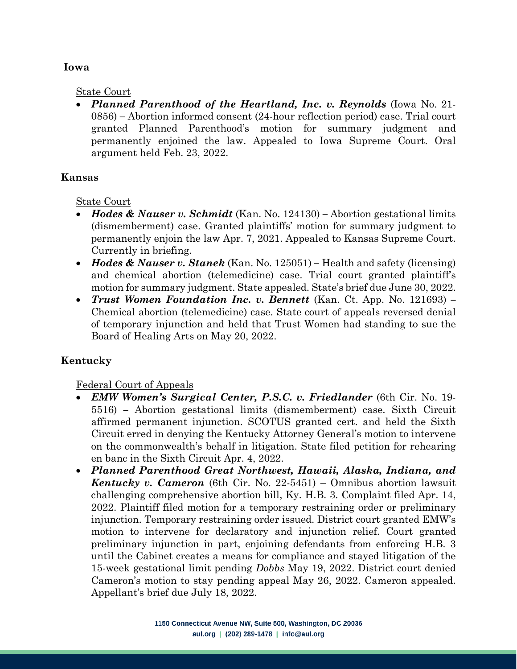#### **Iowa**

#### State Court

• *Planned Parenthood of the Heartland, Inc. v. Reynolds* (Iowa No. 21- 0856) **–** Abortion informed consent (24-hour reflection period) case. Trial court granted Planned Parenthood's motion for summary judgment and permanently enjoined the law. Appealed to Iowa Supreme Court. Oral argument held Feb. 23, 2022.

#### **Kansas**

State Court

- *Hodes & Nauser v. Schmidt* (Kan. No. 124130) **–** Abortion gestational limits (dismemberment) case. Granted plaintiffs' motion for summary judgment to permanently enjoin the law Apr. 7, 2021. Appealed to Kansas Supreme Court. Currently in briefing.
- *Hodes & Nauser v. Stanek* (Kan. No. 125051) **–** Health and safety (licensing) and chemical abortion (telemedicine) case. Trial court granted plaintiff's motion for summary judgment. State appealed. State's brief due June 30, 2022.
- *Trust Women Foundation Inc. v. Bennett* (Kan. Ct. App. No. 121693) **–** Chemical abortion (telemedicine) case. State court of appeals reversed denial of temporary injunction and held that Trust Women had standing to sue the Board of Healing Arts on May 20, 2022.

### **Kentucky**

Federal Court of Appeals

- *EMW Women's Surgical Center, P.S.C. v. Friedlander* (6th Cir. No. 19- 5516) **–** Abortion gestational limits (dismemberment) case. Sixth Circuit affirmed permanent injunction. SCOTUS granted cert. and held the Sixth Circuit erred in denying the Kentucky Attorney General's motion to intervene on the commonwealth's behalf in litigation. State filed petition for rehearing en banc in the Sixth Circuit Apr. 4, 2022.
- *Planned Parenthood Great Northwest, Hawaii, Alaska, Indiana, and Kentucky v. Cameron* (6th Cir. No. 22-5451) – Omnibus abortion lawsuit challenging comprehensive abortion bill, Ky. H.B. 3. Complaint filed Apr. 14, 2022. Plaintiff filed motion for a temporary restraining order or preliminary injunction. Temporary restraining order issued. District court granted EMW's motion to intervene for declaratory and injunction relief. Court granted preliminary injunction in part, enjoining defendants from enforcing H.B. 3 until the Cabinet creates a means for compliance and stayed litigation of the 15-week gestational limit pending *Dobbs* May 19, 2022. District court denied Cameron's motion to stay pending appeal May 26, 2022. Cameron appealed. Appellant's brief due July 18, 2022.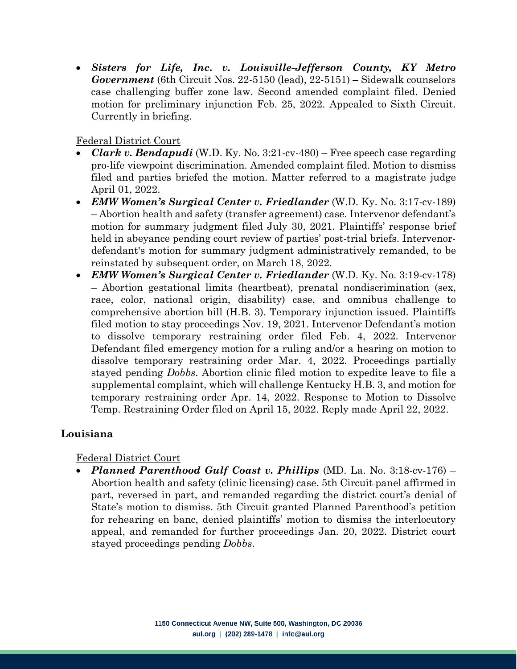• *Sisters for Life, Inc. v. Louisville-Jefferson County, KY Metro Government* (6th Circuit Nos. 22-5150 (lead), 22-5151) – Sidewalk counselors case challenging buffer zone law. Second amended complaint filed. Denied motion for preliminary injunction Feb. 25, 2022. Appealed to Sixth Circuit. Currently in briefing.

Federal District Court

- *Clark v. Bendapudi* (W.D. Ky. No. 3:21-cv-480) Free speech case regarding pro-life viewpoint discrimination. Amended complaint filed. Motion to dismiss filed and parties briefed the motion. Matter referred to a magistrate judge April 01, 2022.
- *EMW Women's Surgical Center v. Friedlander* (W.D. Ky. No. 3:17-cv-189) – Abortion health and safety (transfer agreement) case. Intervenor defendant's motion for summary judgment filed July 30, 2021. Plaintiffs' response brief held in abeyance pending court review of parties' post-trial briefs. Intervenordefendant's motion for summary judgment administratively remanded, to be reinstated by subsequent order, on March 18, 2022.
- *EMW Women's Surgical Center v. Friedlander* (W.D. Ky. No. 3:19-cv-178) – Abortion gestational limits (heartbeat), prenatal nondiscrimination (sex, race, color, national origin, disability) case, and omnibus challenge to comprehensive abortion bill (H.B. 3). Temporary injunction issued. Plaintiffs filed motion to stay proceedings Nov. 19, 2021. Intervenor Defendant's motion to dissolve temporary restraining order filed Feb. 4, 2022. Intervenor Defendant filed emergency motion for a ruling and/or a hearing on motion to dissolve temporary restraining order Mar. 4, 2022. Proceedings partially stayed pending *Dobbs*. Abortion clinic filed motion to expedite leave to file a supplemental complaint, which will challenge Kentucky H.B. 3, and motion for temporary restraining order Apr. 14, 2022. Response to Motion to Dissolve Temp. Restraining Order filed on April 15, 2022. Reply made April 22, 2022.

### **Louisiana**

### Federal District Court

• *Planned Parenthood Gulf Coast v. Phillips* (MD. La. No. 3:18-cv-176) – Abortion health and safety (clinic licensing) case. 5th Circuit panel affirmed in part, reversed in part, and remanded regarding the district court's denial of State's motion to dismiss. 5th Circuit granted Planned Parenthood's petition for rehearing en banc, denied plaintiffs' motion to dismiss the interlocutory appeal, and remanded for further proceedings Jan. 20, 2022. District court stayed proceedings pending *Dobbs*.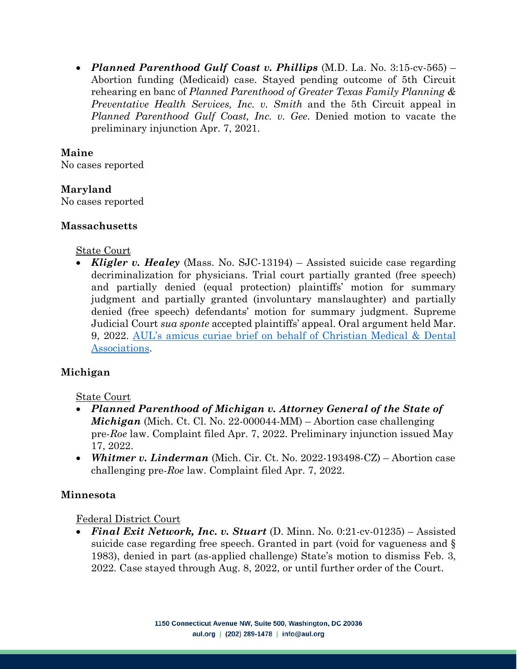• *Planned Parenthood Gulf Coast v. Phillips* (M.D. La. No. 3:15-cv-565) – Abortion funding (Medicaid) case. Stayed pending outcome of 5th Circuit rehearing en banc of *Planned Parenthood of Greater Texas Family Planning & Preventative Health Services, Inc. v. Smith* and the 5th Circuit appeal in *Planned Parenthood Gulf Coast, Inc. v. Gee*. Denied motion to vacate the preliminary injunction Apr. 7, 2021.

### **Maine**

No cases reported

## **Maryland**

No cases reported

### **Massachusetts**

### State Court

• *Kligler v. Healey* (Mass. No. SJC-13194) – Assisted suicide case regarding decriminalization for physicians. Trial court partially granted (free speech) and partially denied (equal protection) plaintiffs' motion for summary judgment and partially granted (involuntary manslaughter) and partially denied (free speech) defendants' motion for summary judgment. Supreme Judicial Court *sua sponte* accepted plaintiffs' appeal. Oral argument held Mar. 9, 2022. [AUL's amicus curiae brief on behalf of Christian Medical & Dental](https://aul.org/wp-content/uploads/2022/02/CMDA-brief-in-Kligler-v.-Healey.pdf)  [Associations.](https://aul.org/wp-content/uploads/2022/02/CMDA-brief-in-Kligler-v.-Healey.pdf)

# **Michigan**

### State Court

- *Planned Parenthood of Michigan v. Attorney General of the State of Michigan* (Mich. Ct. Cl. No. 22-000044-MM) – Abortion case challenging pre-*Roe* law. Complaint filed Apr. 7, 2022. Preliminary injunction issued May 17, 2022.
- *Whitmer v. Linderman* (Mich. Cir. Ct. No. 2022-193498-CZ) Abortion case challenging pre-*Roe* law. Complaint filed Apr. 7, 2022.

# **Minnesota**

### Federal District Court

• *Final Exit Network, Inc. v. Stuart* (D. Minn. No. 0:21-cv-01235) – Assisted suicide case regarding free speech. Granted in part (void for vagueness and § 1983), denied in part (as-applied challenge) State's motion to dismiss Feb. 3, 2022. Case stayed through Aug. 8, 2022, or until further order of the Court.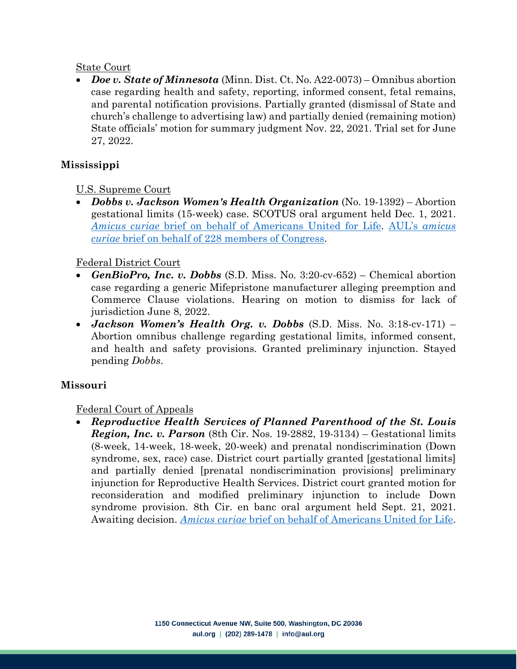#### State Court

• *Doe v. State of Minnesota* (Minn. Dist. Ct. No. A22-0073) – Omnibus abortion case regarding health and safety, reporting, informed consent, fetal remains, and parental notification provisions. Partially granted (dismissal of State and church's challenge to advertising law) and partially denied (remaining motion) State officials' motion for summary judgment Nov. 22, 2021. Trial set for June 27, 2022.

## **Mississippi**

## U.S. Supreme Court

• *Dobbs v. Jackson Women's Health Organization* (No. 19-1392) – Abortion gestational limits (15-week) case. SCOTUS oral argument held Dec. 1, 2021. *[Amicus curiae](https://aul.org/wp-content/uploads/2021/11/2021-Dobbs-v.-Jackson-Womens-Health-Organization-On-behalf-of-AUL.pdf)* bri[ef on behalf of Americans United for Life.](https://aul.org/wp-content/uploads/2021/11/2021-Dobbs-v.-Jackson-Womens-Health-Organization-On-behalf-of-AUL.pdf) AUL's *[amicus](https://aul.org/wp-content/uploads/2021/11/2021-Dobbs-v.-Jackson-Womens-Health-Organization-On-behalf-of-228-members-of-the-United-States-Congress.pdf)  curiae* [brief on behalf of 228 members of Congress.](https://aul.org/wp-content/uploads/2021/11/2021-Dobbs-v.-Jackson-Womens-Health-Organization-On-behalf-of-228-members-of-the-United-States-Congress.pdf)

### Federal District Court

- *GenBioPro, Inc. v. Dobbs* (S.D. Miss. No. 3:20-cv-652) Chemical abortion case regarding a generic Mifepristone manufacturer alleging preemption and Commerce Clause violations. Hearing on motion to dismiss for lack of jurisdiction June 8, 2022.
- *Jackson Women's Health Org. v. Dobbs* (S.D. Miss. No. 3:18-cv-171) Abortion omnibus challenge regarding gestational limits, informed consent, and health and safety provisions. Granted preliminary injunction. Stayed pending *Dobbs*.

### **Missouri**

### Federal Court of Appeals

• *Reproductive Health Services of Planned Parenthood of the St. Louis Region, Inc. v. Parson* (8th Cir. Nos. 19-2882, 19-3134) – Gestational limits (8-week, 14-week, 18-week, 20-week) and prenatal nondiscrimination (Down syndrome, sex, race) case. District court partially granted [gestational limits] and partially denied [prenatal nondiscrimination provisions] preliminary injunction for Reproductive Health Services. District court granted motion for reconsideration and modified preliminary injunction to include Down syndrome provision. 8th Cir. en banc oral argument held Sept. 21, 2021. Awaiting decision. *[Amicus curiae](https://aul.org/wp-content/uploads/2021/11/2021-Reproductive-Health-Services-of-Planned-Parenthood-of-the-St.-Louis-Region-Inc.-v.-Parson-On-behalf-of-AUL.pdf)* brief on beha[lf of Americans United for Life.](https://aul.org/wp-content/uploads/2021/11/2021-Reproductive-Health-Services-of-Planned-Parenthood-of-the-St.-Louis-Region-Inc.-v.-Parson-On-behalf-of-AUL.pdf)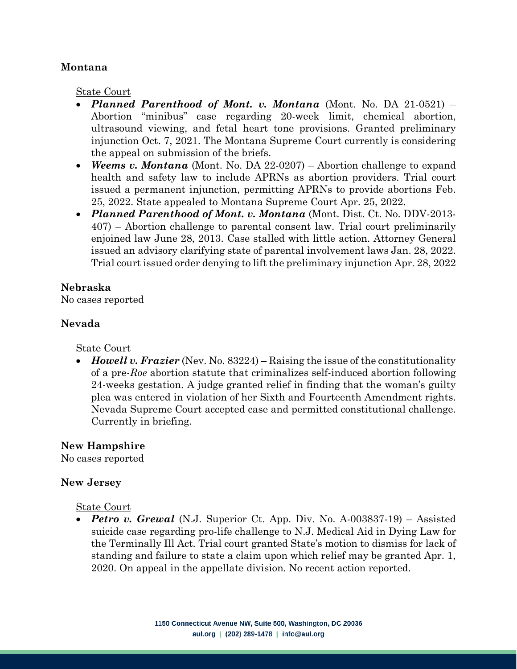#### **Montana**

State Court

- *Planned Parenthood of Mont. v. Montana* (Mont. No. DA 21-0521) Abortion "minibus" case regarding 20-week limit, chemical abortion, ultrasound viewing, and fetal heart tone provisions. Granted preliminary injunction Oct. 7, 2021. The Montana Supreme Court currently is considering the appeal on submission of the briefs.
- *Weems v. Montana* (Mont. No. DA 22-0207) Abortion challenge to expand health and safety law to include APRNs as abortion providers. Trial court issued a permanent injunction, permitting APRNs to provide abortions Feb. 25, 2022. State appealed to Montana Supreme Court Apr. 25, 2022.
- *Planned Parenthood of Mont. v. Montana* (Mont. Dist. Ct. No. DDV-2013- 407) – Abortion challenge to parental consent law. Trial court preliminarily enjoined law June 28, 2013. Case stalled with little action. Attorney General issued an advisory clarifying state of parental involvement laws Jan. 28, 2022. Trial court issued order denying to lift the preliminary injunction Apr. 28, 2022

### **Nebraska**

No cases reported

### **Nevada**

### State Court

• *Howell v. Frazier* (Nev. No. 83224) – Raising the issue of the constitutionality of a pre-*Roe* abortion statute that criminalizes self-induced abortion following 24-weeks gestation. A judge granted relief in finding that the woman's guilty plea was entered in violation of her Sixth and Fourteenth Amendment rights. Nevada Supreme Court accepted case and permitted constitutional challenge. Currently in briefing.

# **New Hampshire**

No cases reported

### **New Jersey**

### State Court

• *Petro v. Grewal* (N.J. Superior Ct. App. Div. No. A-003837-19) – Assisted suicide case regarding pro-life challenge to N.J. Medical Aid in Dying Law for the Terminally Ill Act. Trial court granted State's motion to dismiss for lack of standing and failure to state a claim upon which relief may be granted Apr. 1, 2020. On appeal in the appellate division. No recent action reported.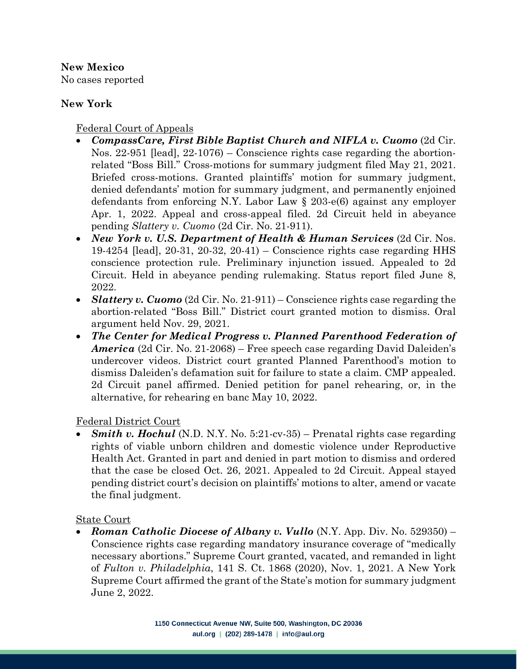**New Mexico** No cases reported

## **New York**

Federal Court of Appeals

- *CompassCare, First Bible Baptist Church and NIFLA v. Cuomo* (2d Cir. Nos. 22-951 [lead], 22-1076) – Conscience rights case regarding the abortionrelated "Boss Bill." Cross-motions for summary judgment filed May 21, 2021. Briefed cross-motions. Granted plaintiffs' motion for summary judgment, denied defendants' motion for summary judgment, and permanently enjoined defendants from enforcing N.Y. Labor Law § 203-e(6) against any employer Apr. 1, 2022. Appeal and cross-appeal filed. 2d Circuit held in abeyance pending *Slattery v. Cuomo* (2d Cir. No. 21-911).
- *New York v. U.S. Department of Health & Human Services* (2d Cir. Nos. 19-4254 [lead], 20-31, 20-32, 20-41) – Conscience rights case regarding HHS conscience protection rule. Preliminary injunction issued. Appealed to 2d Circuit. Held in abeyance pending rulemaking. Status report filed June 8, 2022.
- *Slattery v. Cuomo* (2d Cir. No. 21-911) Conscience rights case regarding the abortion-related "Boss Bill." District court granted motion to dismiss. Oral argument held Nov. 29, 2021.
- *The Center for Medical Progress v. Planned Parenthood Federation of America* (2d Cir. No. 21-2068) – Free speech case regarding David Daleiden's undercover videos. District court granted Planned Parenthood's motion to dismiss Daleiden's defamation suit for failure to state a claim. CMP appealed. 2d Circuit panel affirmed. Denied petition for panel rehearing, or, in the alternative, for rehearing en banc May 10, 2022.

Federal District Court

• *Smith v. Hochul* (N.D. N.Y. No. 5:21-cv-35) – Prenatal rights case regarding rights of viable unborn children and domestic violence under Reproductive Health Act. Granted in part and denied in part motion to dismiss and ordered that the case be closed Oct. 26, 2021. Appealed to 2d Circuit. Appeal stayed pending district court's decision on plaintiffs' motions to alter, amend or vacate the final judgment.

State Court

• *Roman Catholic Diocese of Albany v. Vullo* (N.Y. App. Div. No. 529350) – Conscience rights case regarding mandatory insurance coverage of "medically necessary abortions." Supreme Court granted, vacated, and remanded in light of *Fulton v. Philadelphia*, 141 S. Ct. 1868 (2020), Nov. 1, 2021. A New York Supreme Court affirmed the grant of the State's motion for summary judgment June 2, 2022.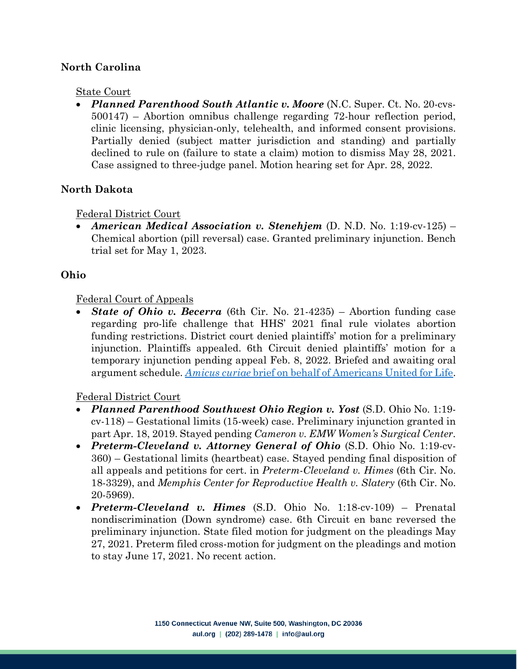### **North Carolina**

#### State Court

• *Planned Parenthood South Atlantic v. Moore* (N.C. Super. Ct. No. 20-cvs-500147) – Abortion omnibus challenge regarding 72-hour reflection period, clinic licensing, physician-only, telehealth, and informed consent provisions. Partially denied (subject matter jurisdiction and standing) and partially declined to rule on (failure to state a claim) motion to dismiss May 28, 2021. Case assigned to three-judge panel. Motion hearing set for Apr. 28, 2022.

#### **North Dakota**

#### Federal District Court

• *American Medical Association v. Stenehjem* (D. N.D. No. 1:19-cv-125) – Chemical abortion (pill reversal) case. Granted preliminary injunction. Bench trial set for May 1, 2023.

#### **Ohio**

#### Federal Court of Appeals

• *State of Ohio v. Becerra* (6th Cir. No. 21-4235) – Abortion funding case regarding pro-life challenge that HHS' 2021 final rule violates abortion funding restrictions. District court denied plaintiffs' motion for a preliminary injunction. Plaintiffs appealed. 6th Circuit denied plaintiffs' motion for a temporary injunction pending appeal Feb. 8, 2022. Briefed and awaiting oral argument schedule. *[Amicus curiae](https://aul.org/wp-content/uploads/2022/03/AUL-amicus-brief-in-State-of-Ohio-v.-Becerra.pdf)* [brief on behalf of Americans United for Life.](https://aul.org/wp-content/uploads/2022/03/AUL-amicus-brief-in-State-of-Ohio-v.-Becerra.pdf)

- *Planned Parenthood Southwest Ohio Region v. Yost* (S.D. Ohio No. 1:19 cv-118) – Gestational limits (15-week) case. Preliminary injunction granted in part Apr. 18, 2019. Stayed pending *Cameron v. EMW Women's Surgical Center*.
- *Preterm-Cleveland v. Attorney General of Ohio* (S.D. Ohio No. 1:19-cv-360) – Gestational limits (heartbeat) case. Stayed pending final disposition of all appeals and petitions for cert. in *Preterm-Cleveland v. Himes* (6th Cir. No. 18-3329), and *Memphis Center for Reproductive Health v. Slatery* (6th Cir. No. 20-5969).
- *Preterm-Cleveland v. Himes* (S.D. Ohio No. 1:18-cv-109) Prenatal nondiscrimination (Down syndrome) case. 6th Circuit en banc reversed the preliminary injunction. State filed motion for judgment on the pleadings May 27, 2021. Preterm filed cross-motion for judgment on the pleadings and motion to stay June 17, 2021. No recent action.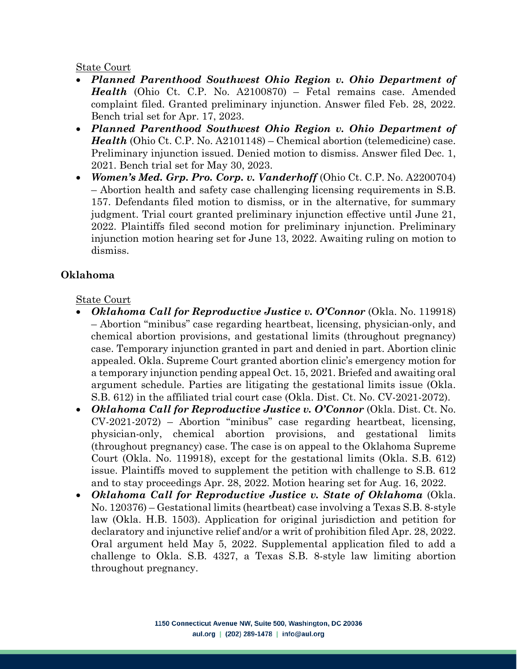#### State Court

- *Planned Parenthood Southwest Ohio Region v. Ohio Department of Health* (Ohio Ct. C.P. No. A2100870) – Fetal remains case. Amended complaint filed. Granted preliminary injunction. Answer filed Feb. 28, 2022. Bench trial set for Apr. 17, 2023.
- *Planned Parenthood Southwest Ohio Region v. Ohio Department of Health* (Ohio Ct. C.P. No. A2101148) – Chemical abortion (telemedicine) case. Preliminary injunction issued. Denied motion to dismiss. Answer filed Dec. 1, 2021. Bench trial set for May 30, 2023.
- *Women's Med. Grp. Pro. Corp. v. Vanderhoff* (Ohio Ct. C.P. No. A2200704) – Abortion health and safety case challenging licensing requirements in S.B. 157. Defendants filed motion to dismiss, or in the alternative, for summary judgment. Trial court granted preliminary injunction effective until June 21, 2022. Plaintiffs filed second motion for preliminary injunction. Preliminary injunction motion hearing set for June 13, 2022. Awaiting ruling on motion to dismiss.

## **Oklahoma**

### State Court

- *Oklahoma Call for Reproductive Justice v. O'Connor* (Okla. No. 119918) – Abortion "minibus" case regarding heartbeat, licensing, physician-only, and chemical abortion provisions, and gestational limits (throughout pregnancy) case. Temporary injunction granted in part and denied in part. Abortion clinic appealed. Okla. Supreme Court granted abortion clinic's emergency motion for a temporary injunction pending appeal Oct. 15, 2021. Briefed and awaiting oral argument schedule. Parties are litigating the gestational limits issue (Okla. S.B. 612) in the affiliated trial court case (Okla. Dist. Ct. No. CV-2021-2072).
- *Oklahoma Call for Reproductive Justice v. O'Connor* (Okla. Dist. Ct. No. CV-2021-2072) – Abortion "minibus" case regarding heartbeat, licensing, physician-only, chemical abortion provisions, and gestational limits (throughout pregnancy) case. The case is on appeal to the Oklahoma Supreme Court (Okla. No. 119918), except for the gestational limits (Okla. S.B. 612) issue. Plaintiffs moved to supplement the petition with challenge to S.B. 612 and to stay proceedings Apr. 28, 2022. Motion hearing set for Aug. 16, 2022.
- *Oklahoma Call for Reproductive Justice v. State of Oklahoma* (Okla. No. 120376) – Gestational limits (heartbeat) case involving a Texas S.B. 8-style law (Okla. H.B. 1503). Application for original jurisdiction and petition for declaratory and injunctive relief and/or a writ of prohibition filed Apr. 28, 2022. Oral argument held May 5, 2022. Supplemental application filed to add a challenge to Okla. S.B. 4327, a Texas S.B. 8-style law limiting abortion throughout pregnancy.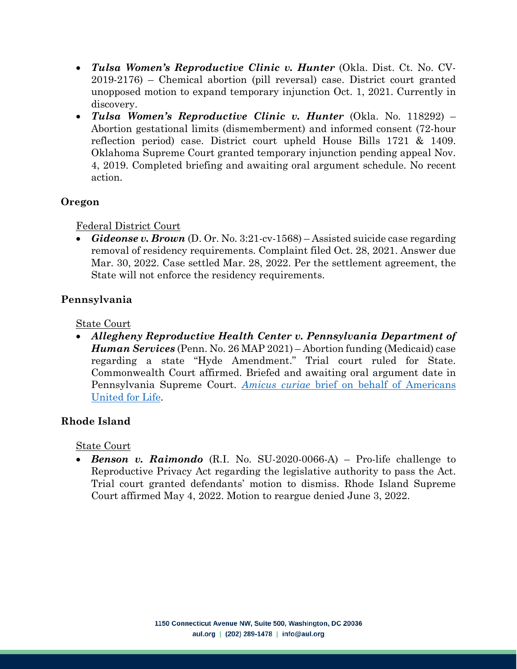- *Tulsa Women's Reproductive Clinic v. Hunter* (Okla. Dist. Ct. No. CV-2019-2176) – Chemical abortion (pill reversal) case. District court granted unopposed motion to expand temporary injunction Oct. 1, 2021. Currently in discovery.
- *Tulsa Women's Reproductive Clinic v. Hunter* (Okla. No. 118292) Abortion gestational limits (dismemberment) and informed consent (72-hour reflection period) case. District court upheld House Bills 1721 & 1409. Oklahoma Supreme Court granted temporary injunction pending appeal Nov. 4, 2019. Completed briefing and awaiting oral argument schedule. No recent action.

### **Oregon**

### Federal District Court

• *Gideonse v. Brown* (D. Or. No. 3:21-cv-1568) – Assisted suicide case regarding removal of residency requirements. Complaint filed Oct. 28, 2021. Answer due Mar. 30, 2022. Case settled Mar. 28, 2022. Per the settlement agreement, the State will not enforce the residency requirements.

# **Pennsylvania**

State Court

• *Allegheny Reproductive Health Center v. Pennsylvania Department of Human Services* (Penn. No. 26 MAP 2021) – Abortion funding (Medicaid) case regarding a state "Hyde Amendment." Trial court ruled for State. Commonwealth Court affirmed. Briefed and awaiting oral argument date in Pennsylvania Supreme Court. *Amicus curiae* [brief on behalf of Americans](https://aul.org/wp-content/uploads/2021/12/AUL-amicus-brief-in-Allegheny-Reprod-Health-Ctr-v-Pa-Dept-of-Human-Servs.pdf)  [United for Life.](https://aul.org/wp-content/uploads/2021/12/AUL-amicus-brief-in-Allegheny-Reprod-Health-Ctr-v-Pa-Dept-of-Human-Servs.pdf)

# **Rhode Island**

### State Court

• *Benson v. Raimondo* (R.I. No. SU-2020-0066-A) – Pro-life challenge to Reproductive Privacy Act regarding the legislative authority to pass the Act. Trial court granted defendants' motion to dismiss. Rhode Island Supreme Court affirmed May 4, 2022. Motion to reargue denied June 3, 2022.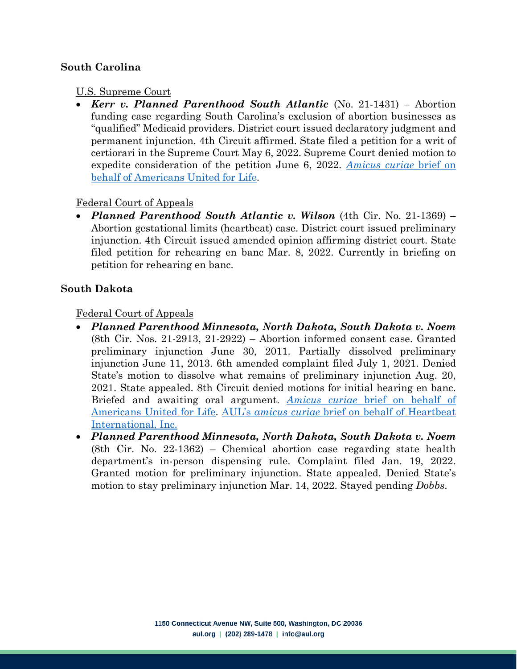### **South Carolina**

#### U.S. Supreme Court

• *Kerr v. Planned Parenthood South Atlantic* (No. 21-1431) – Abortion funding case regarding South Carolina's exclusion of abortion businesses as "qualified" Medicaid providers. District court issued declaratory judgment and permanent injunction. 4th Circuit affirmed. State filed a petition for a writ of certiorari in the Supreme Court May 6, 2022. Supreme Court denied motion to expedite consideration of the petition June 6, 2022. *[Amicus curiae](https://aul.org/wp-content/uploads/2022/05/AUL-amicus-brief-in-Kerr-v.-Planned-Parenthood-South-Atlantic.pdf)* [brief on](https://aul.org/wp-content/uploads/2022/05/AUL-amicus-brief-in-Kerr-v.-Planned-Parenthood-South-Atlantic.pdf)  [behalf of Americans United for Life.](https://aul.org/wp-content/uploads/2022/05/AUL-amicus-brief-in-Kerr-v.-Planned-Parenthood-South-Atlantic.pdf)

#### Federal Court of Appeals

• *Planned Parenthood South Atlantic v. Wilson* (4th Cir. No. 21-1369) – Abortion gestational limits (heartbeat) case. District court issued preliminary injunction. 4th Circuit issued amended opinion affirming district court. State filed petition for rehearing en banc Mar. 8, 2022. Currently in briefing on petition for rehearing en banc.

#### **South Dakota**

#### Federal Court of Appeals

- *Planned Parenthood Minnesota, North Dakota, South Dakota v. Noem* (8th Cir. Nos. 21-2913, 21-2922) – Abortion informed consent case. Granted preliminary injunction June 30, 2011. Partially dissolved preliminary injunction June 11, 2013. 6th amended complaint filed July 1, 2021. Denied State's motion to dissolve what remains of preliminary injunction Aug. 20, 2021. State appealed. 8th Circuit denied motions for initial hearing en banc. Briefed and awaiting oral argument. *Amicus curiae* [brief on behalf of](https://aul.org/wp-content/uploads/2021/12/Amicus-Brief-of-AUL-in-Planned-Parenthood-v.-Noem.pdf)  [Americans United for Life.](https://aul.org/wp-content/uploads/2021/12/Amicus-Brief-of-AUL-in-Planned-Parenthood-v.-Noem.pdf) AUL's *amicus curiae* [brief on behalf of Heartbeat](https://aul.org/wp-content/uploads/2021/12/PP-v-Noem-Heartbeat-Amicus-Brief-FINAL.pdf)  [International, Inc.](https://aul.org/wp-content/uploads/2021/12/PP-v-Noem-Heartbeat-Amicus-Brief-FINAL.pdf)
- *Planned Parenthood Minnesota, North Dakota, South Dakota v. Noem* (8th Cir. No. 22-1362) – Chemical abortion case regarding state health department's in-person dispensing rule. Complaint filed Jan. 19, 2022. Granted motion for preliminary injunction. State appealed. Denied State's motion to stay preliminary injunction Mar. 14, 2022. Stayed pending *Dobbs*.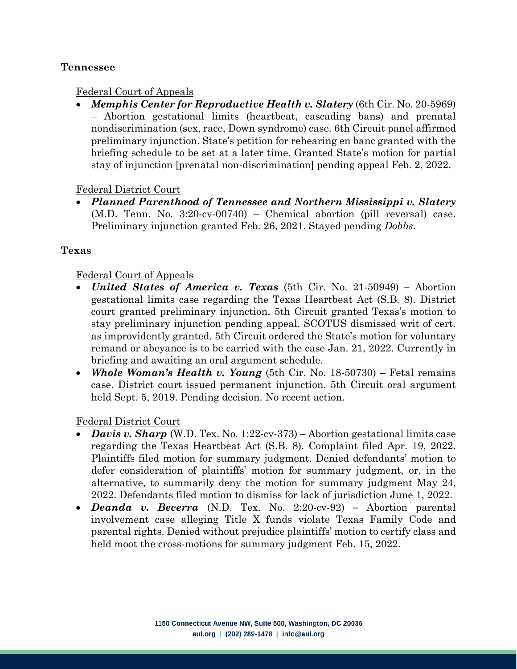#### **Tennessee**

#### Federal Court of Appeals

• *Memphis Center for Reproductive Health v. Slatery* (6th Cir. No. 20-5969) – Abortion gestational limits (heartbeat, cascading bans) and prenatal nondiscrimination (sex, race, Down syndrome) case. 6th Circuit panel affirmed preliminary injunction. State's petition for rehearing en banc granted with the briefing schedule to be set at a later time. Granted State's motion for partial stay of injunction [prenatal non-discrimination] pending appeal Feb. 2, 2022.

#### Federal District Court

• *Planned Parenthood of Tennessee and Northern Mississippi v. Slatery* (M.D. Tenn. No. 3:20-cv-00740) – Chemical abortion (pill reversal) case. Preliminary injunction granted Feb. 26, 2021. Stayed pending *Dobbs*.

#### **Texas**

#### Federal Court of Appeals

- *United States of America v. Texas* (5th Cir. No. 21-50949) **–** Abortion gestational limits case regarding the Texas Heartbeat Act (S.B. 8). District court granted preliminary injunction. 5th Circuit granted Texas's motion to stay preliminary injunction pending appeal. SCOTUS dismissed writ of cert. as improvidently granted. 5th Circuit ordered the State's motion for voluntary remand or abeyance is to be carried with the case Jan. 21, 2022. Currently in briefing and awaiting an oral argument schedule.
- *Whole Woman's Health v. Young* (5th Cir. No. 18-50730) Fetal remains case. District court issued permanent injunction. 5th Circuit oral argument held Sept. 5, 2019. Pending decision. No recent action.

- *Davis v. Sharp* (W.D. Tex. No. 1:22-cv-373) Abortion gestational limits case regarding the Texas Heartbeat Act (S.B. 8). Complaint filed Apr. 19, 2022. Plaintiffs filed motion for summary judgment. Denied defendants' motion to defer consideration of plaintiffs' motion for summary judgment, or, in the alternative, to summarily deny the motion for summary judgment May 24, 2022. Defendants filed motion to dismiss for lack of jurisdiction June 1, 2022.
- *Deanda v. Becerra* (N.D. Tex. No. 2:20-cv-92) **–** Abortion parental involvement case alleging Title X funds violate Texas Family Code and parental rights. Denied without prejudice plaintiffs' motion to certify class and held moot the cross-motions for summary judgment Feb. 15, 2022.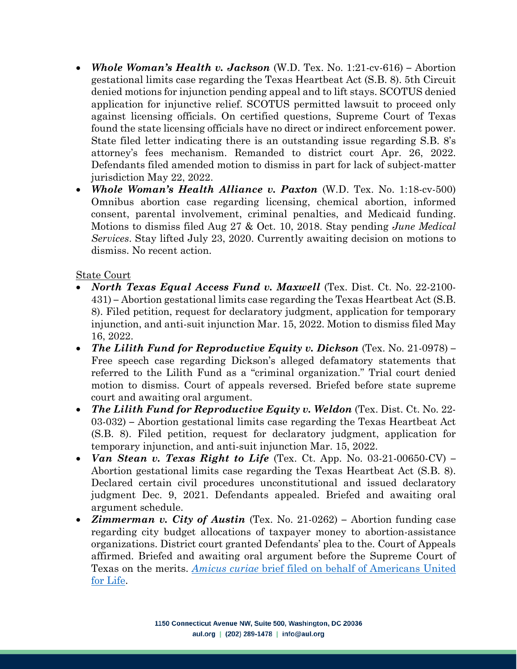- *Whole Woman's Health v. Jackson* (W.D. Tex. No. 1:21-cv-616) **–** Abortion gestational limits case regarding the Texas Heartbeat Act (S.B. 8). 5th Circuit denied motions for injunction pending appeal and to lift stays. SCOTUS denied application for injunctive relief. SCOTUS permitted lawsuit to proceed only against licensing officials. On certified questions, Supreme Court of Texas found the state licensing officials have no direct or indirect enforcement power. State filed letter indicating there is an outstanding issue regarding S.B. 8's attorney's fees mechanism. Remanded to district court Apr. 26, 2022. Defendants filed amended motion to dismiss in part for lack of subject-matter jurisdiction May 22, 2022.
- *Whole Woman's Health Alliance v. Paxton* (W.D. Tex. No. 1:18-cv-500) Omnibus abortion case regarding licensing, chemical abortion, informed consent, parental involvement, criminal penalties, and Medicaid funding. Motions to dismiss filed Aug 27 & Oct. 10, 2018. Stay pending *June Medical Services*. Stay lifted July 23, 2020. Currently awaiting decision on motions to dismiss. No recent action.

State Court

- *North Texas Equal Access Fund v. Maxwell* (Tex. Dist. Ct. No. 22-2100- 431) **–** Abortion gestational limits case regarding the Texas Heartbeat Act (S.B. 8). Filed petition, request for declaratory judgment, application for temporary injunction, and anti-suit injunction Mar. 15, 2022. Motion to dismiss filed May 16, 2022.
- *The Lilith Fund for Reproductive Equity v. Dickson* (Tex. No. 21-0978) **–** Free speech case regarding Dickson's alleged defamatory statements that referred to the Lilith Fund as a "criminal organization." Trial court denied motion to dismiss. Court of appeals reversed. Briefed before state supreme court and awaiting oral argument.
- *The Lilith Fund for Reproductive Equity v. Weldon* (Tex. Dist. Ct. No. 22-03-032) **–** Abortion gestational limits case regarding the Texas Heartbeat Act (S.B. 8). Filed petition, request for declaratory judgment, application for temporary injunction, and anti-suit injunction Mar. 15, 2022.
- *Van Stean v. Texas Right to Life* (Tex. Ct. App. No. 03-21-00650-CV) **–** Abortion gestational limits case regarding the Texas Heartbeat Act (S.B. 8). Declared certain civil procedures unconstitutional and issued declaratory judgment Dec. 9, 2021. Defendants appealed. Briefed and awaiting oral argument schedule.
- *Zimmerman v. City of Austin* (Tex. No. 21-0262) **–** Abortion funding case regarding city budget allocations of taxpayer money to abortion-assistance organizations. District court granted Defendants' plea to the. Court of Appeals affirmed. Briefed and awaiting oral argument before the Supreme Court of Texas on the merits. *Amicus curiae* [brief filed on behalf of Americans United](https://aul.org/wp-content/uploads/2022/03/AUL-amicus-brief-in-Zimmerman-v.-City-of-Austin-merits.pdf)  [for Life.](https://aul.org/wp-content/uploads/2022/03/AUL-amicus-brief-in-Zimmerman-v.-City-of-Austin-merits.pdf)